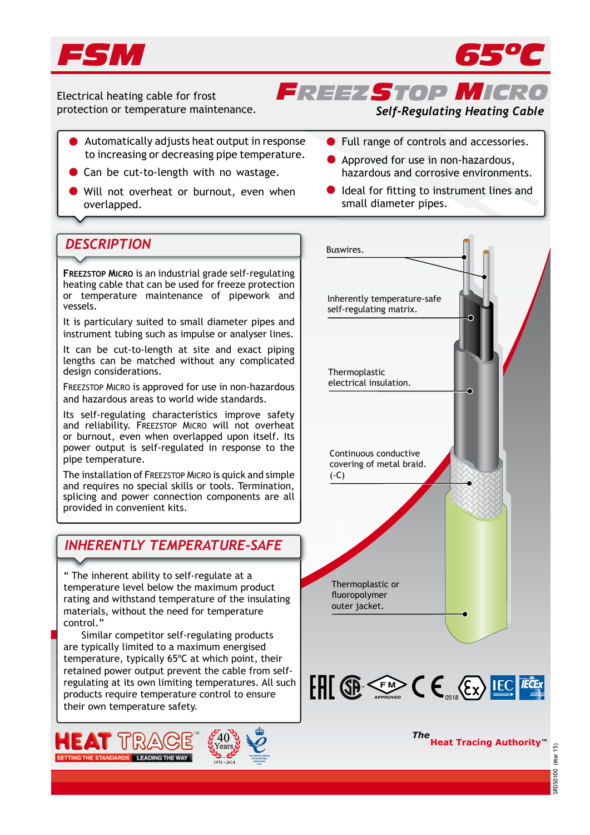



Electrical heating cable for frost protection or temperature maintenance.

## *Self-Regulating Heating Cable*

*FREEZSTOP MICRO*

- Automatically adjusts heat output in response to increasing or decreasing pipe temperature.
- Can be cut-to-length with no wastage.
- Will not overheat or burnout, even when overlapped.
- 

**FREEZSTOP MICRO** is an industrial grade self-regulating heating cable that can be used for freeze protection or temperature maintenance of pipework and vessels.

It is particulary suited to small diameter pipes and instrument tubing such as impulse or analyser lines.

It can be cut-to-length at site and exact piping lengths can be matched without any complicated design considerations.

FREEZSTOP MICRO is approved for use in non-hazardous and hazardous areas to world wide standards.

Its self-regulating characteristics improve safety and reliability. FREEZSTOP MICRO will not overheat or burnout, even when overlapped upon itself. Its power output is self-regulated in response to the pipe temperature.

The installation of FREEZSTOP MICRO is quick and simple and requires no special skills or tools. Termination, splicing and power connection components are all provided in convenient kits.

## *INHERENTLY TEMPERATURE-SAFE*

" The inherent ability to self-regulate at a temperature level below the maximum product rating and withstand temperature of the insulating materials, without the need for temperature control."

 Similar competitor self-regulating products are typically limited to a maximum energised temperature, typically 65ºC at which point, their retained power output prevent the cable from selfregulating at its own limiting temperatures. All such products require temperature control to ensure their own temperature safety.





- **Full range of controls and accessories.**
- Approved for use in non-hazardous, hazardous and corrosive environments.
- Ideal for fitting to instrument lines and small diameter pipes.